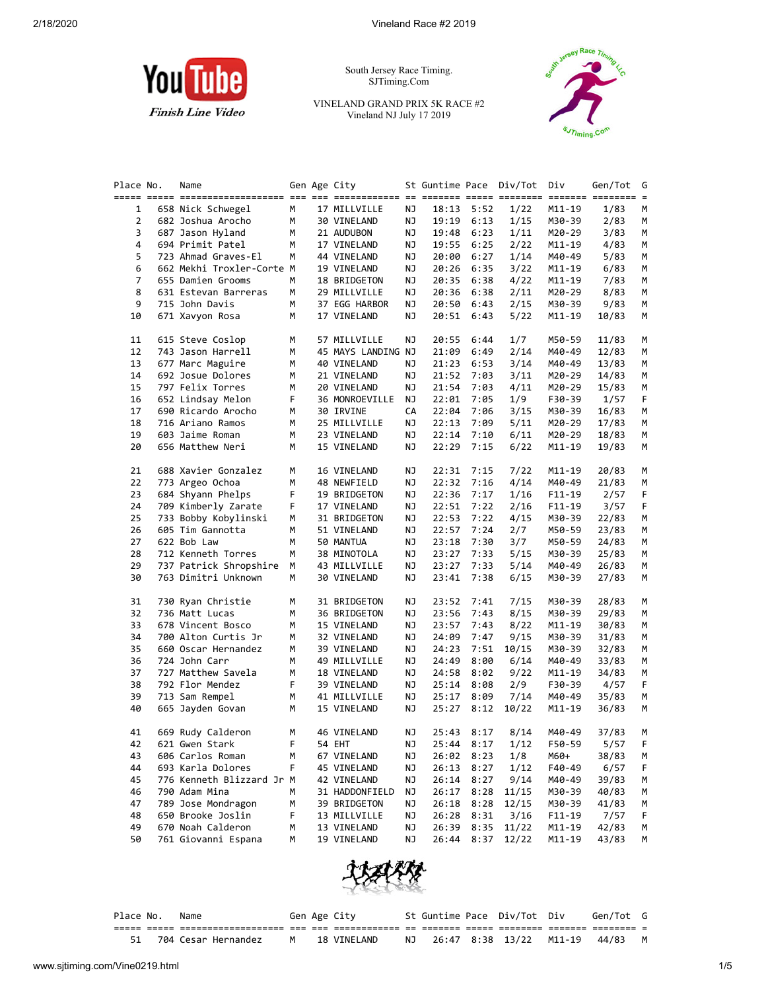

South Jersey Race Timing. SJTiming.Com

VINELAND GRAND PRIX 5K RACE #2 Vineland NJ July 17 2019



| Place No.      | Name                      |   | Gen Age City       |    | St Guntime Pace Div/Tot |            |       | Div      | Gen/Tot | G  |
|----------------|---------------------------|---|--------------------|----|-------------------------|------------|-------|----------|---------|----|
|                |                           |   |                    |    |                         |            |       |          |         |    |
| 1              | 658 Nick Schwegel         | М | 17 MILLVILLE       | ΝJ |                         | 18:13 5:52 | 1/22  | M11-19   | 1/83    | м  |
| $\overline{2}$ | 682 Joshua Arocho         | М | 30 VINELAND        | ΝJ | 19:19                   | 6:13       | 1/15  | M30-39   | 2/83    | М  |
| 3              | 687 Jason Hyland          | м | 21 AUDUBON         | ΝJ | 19:48                   | 6:23       | 1/11  | M20-29   | 3/83    | М  |
| 4              | 694 Primit Patel          | М | 17 VINELAND        | ΝJ | 19:55                   | 6:25       | 2/22  | M11-19   | 4/83    | м  |
| 5              | 723 Ahmad Graves-El       | М | 44 VINELAND        | ΝJ | 20:00                   | 6:27       | 1/14  | M40-49   | 5/83    | М  |
| 6              | 662 Mekhi Troxler-Corte M |   | 19 VINELAND        | ΝJ | 20:26                   | 6:35       | 3/22  | M11-19   | 6/83    | м  |
| 7              | 655 Damien Grooms         | М | 18 BRIDGETON       | ΝJ | 20:35                   | 6:38       | 4/22  | M11-19   | 7/83    | М  |
| 8              | 631 Estevan Barreras      | М | 29 MILLVILLE       | ΝJ | 20:36                   | 6:38       | 2/11  | M20-29   | 8/83    | М  |
| 9              | 715 John Davis            | М | 37 EGG HARBOR      | ΝJ | 20:50                   | 6:43       | 2/15  | M30-39   | 9/83    | М  |
| 10             | 671 Xavyon Rosa           | М | 17 VINELAND        | ΝJ | 20:51                   | 6:43       | 5/22  | M11-19   | 10/83   | М  |
| 11             | 615 Steve Coslop          | м | 57 MILLVILLE       | ΝJ | 20:55                   | 6:44       | 1/7   | M50-59   | 11/83   | м  |
| 12             | 743 Jason Harrell         | м | 45 MAYS LANDING NJ |    | 21:09                   | 6:49       | 2/14  | M40-49   | 12/83   | м  |
| 13             | 677 Marc Maguire          | М | 40 VINELAND        | ΝJ | 21:23                   | 6:53       | 3/14  | M40-49   | 13/83   | М  |
| 14             | 692 Josue Dolores         | М | 21 VINELAND        | ΝJ | 21:52                   | 7:03       | 3/11  | M20-29   | 14/83   | М  |
| 15             | 797 Felix Torres          | М | 20 VINELAND        | ΝJ | 21:54                   | 7:03       | 4/11  | M20-29   | 15/83   | м  |
| 16             | 652 Lindsay Melon         | F | 36 MONROEVILLE     | ΝJ | 22:01                   | 7:05       | 1/9   | F30-39   | 1/57    | F. |
| 17             | 690 Ricardo Arocho        | М | 30 IRVINE          | CA | 22:04                   | 7:06       | 3/15  | M30-39   | 16/83   | м  |
| 18             | 716 Ariano Ramos          | М | 25 MILLVILLE       | ΝJ | 22:13                   | 7:09       | 5/11  | M20-29   | 17/83   | М  |
| 19             | 603 Jaime Roman           | М | 23 VINELAND        | ΝJ | 22:14                   | 7:10       | 6/11  | M20-29   | 18/83   | М  |
| 20             | 656 Matthew Neri          | М | 15 VINELAND        | ΝJ | 22:29                   | 7:15       | 6/22  | M11-19   | 19/83   | М  |
| 21             | 688 Xavier Gonzalez       | м | 16 VINELAND        | ΝJ | 22:31                   | 7:15       | 7/22  | M11-19   | 20/83   | м  |
| 22             | 773 Argeo Ochoa           | м | 48 NEWFIELD        | ΝJ | 22:32                   | 7:16       | 4/14  | M40-49   | 21/83   | м  |
| 23             | 684 Shyann Phelps         | F | 19 BRIDGETON       | ΝJ | 22:36                   | 7:17       | 1/16  | $F11-19$ | 2/57    | F  |
| 24             | 709 Kimberly Zarate       | F | 17 VINELAND        | ΝJ | 22:51                   | 7:22       | 2/16  | $F11-19$ | 3/57    | F  |
| 25             | 733 Bobby Kobylinski      | м | 31 BRIDGETON       | ΝJ | 22:53                   | 7:22       | 4/15  | M30-39   | 22/83   | М  |
| 26             | 605 Tim Gannotta          | м | 51 VINELAND        | ΝJ | 22:57                   | 7:24       | 2/7   | M50-59   | 23/83   | м  |
| 27             | 622 Bob Law               | М | 50 MANTUA          | ΝJ | 23:18                   | 7:30       | 3/7   | M50-59   | 24/83   | М  |
| 28             | 712 Kenneth Torres        | м | 38 MINOTOLA        | ΝJ | 23:27                   | 7:33       | 5/15  | M30-39   | 25/83   | м  |
| 29             | 737 Patrick Shropshire    | М | 43 MILLVILLE       | ΝJ | 23:27                   | 7:33       | 5/14  | M40-49   | 26/83   | М  |
| 30             | 763 Dimitri Unknown       | M | 30 VINELAND        | ΝJ | 23:41                   | 7:38       | 6/15  | M30-39   | 27/83   | М  |
| 31             | 730 Ryan Christie         | М | 31 BRIDGETON       | ΝJ |                         | 23:52 7:41 | 7/15  | M30-39   | 28/83   | М  |
| 32             | 736 Matt Lucas            | м | 36 BRIDGETON       | ΝJ | 23:56                   | 7:43       | 8/15  | M30-39   | 29/83   | м  |
| 33             | 678 Vincent Bosco         | м | 15 VINELAND        | ΝJ | 23:57                   | 7:43       | 8/22  | M11-19   | 30/83   | м  |
| 34             | 700 Alton Curtis Jr       | м | 32 VINELAND        | ΝJ | 24:09                   | 7:47       | 9/15  | M30-39   | 31/83   | M  |
| 35             | 660 Oscar Hernandez       | М | 39 VINELAND        | ΝJ | 24:23                   | 7:51       | 10/15 | M30-39   | 32/83   | М  |
| 36             | 724 John Carr             | м | 49 MILLVILLE       | ΝJ | 24:49                   | 8:00       | 6/14  | M40-49   | 33/83   | М  |
| 37             | 727 Matthew Savela        | м | 18 VINELAND        | ΝJ | 24:58                   | 8:02       | 9/22  | M11-19   | 34/83   | м  |
| 38             | 792 Flor Mendez           | F | 39 VINELAND        | ΝJ | 25:14                   | 8:08       | 2/9   | F30-39   | 4/57    | F. |
| 39             | 713 Sam Rempel            | М | 41 MILLVILLE       | ΝJ | 25:17                   | 8:09       | 7/14  | M40-49   | 35/83   | м  |
| 40             | 665 Jayden Govan          | М | 15 VINELAND        | ΝJ | 25:27                   | 8:12       | 10/22 | M11-19   | 36/83   | М  |
| 41             | 669 Rudy Calderon         | М | 46 VINELAND        | ΝJ |                         | 25:43 8:17 | 8/14  | M40-49   | 37/83   | м  |
| 42             | 621 Gwen Stark            |   | 54 EHT             | ΝJ |                         | 25:44 8:17 | 1/12  | F50-59   | 5/57    | F  |
| 43             | 606 Carlos Roman          | м | 67 VINELAND        | ΝJ |                         | 26:02 8:23 | 1/8   | M60+     | 38/83   | M  |
| 44             | 693 Karla Dolores         | F | 45 VINELAND        | ΝJ | 26:13                   | 8:27       | 1/12  | F40-49   | 6/57    | F  |
| 45             | 776 Kenneth Blizzard Jr M |   | 42 VINELAND        | ΝJ | 26:14                   | 8:27       | 9/14  | M40-49   | 39/83   | м  |
| 46             | 790 Adam Mina             | м | 31 HADDONFIELD     | ΝJ | 26:17                   | 8:28       | 11/15 | M30-39   | 40/83   | м  |
| 47             | 789 Jose Mondragon        | м | 39 BRIDGETON       | ΝJ | 26:18                   | 8:28       | 12/15 | M30-39   | 41/83   | M  |
| 48             | 650 Brooke Joslin         | F | 13 MILLVILLE       | ΝJ | 26:28                   | 8:31       | 3/16  | F11-19   | 7/57    | F  |
| 49             | 670 Noah Calderon         | М | 13 VINELAND        | ΝJ | 26:39                   | 8:35       | 11/22 | M11-19   | 42/83   | м  |
| 50             | 761 Giovanni Espana       | м | 19 VINELAND        | ΝJ | 26:44                   | 8:37       | 12/22 | M11-19   | 43/83   | М  |
|                |                           |   |                    |    |                         |            |       |          |         |    |



| Place No. | Name                   |   | Gen Age City |  | St Guntime Pace Div/Tot Div | Gen/Tot G |  |
|-----------|------------------------|---|--------------|--|-----------------------------|-----------|--|
|           |                        |   |              |  |                             |           |  |
|           | 51 704 Cesar Hernandez | M | 18 VINELAND  |  | NJ 26:47 8:38 13/22 M11-19  | 44/83     |  |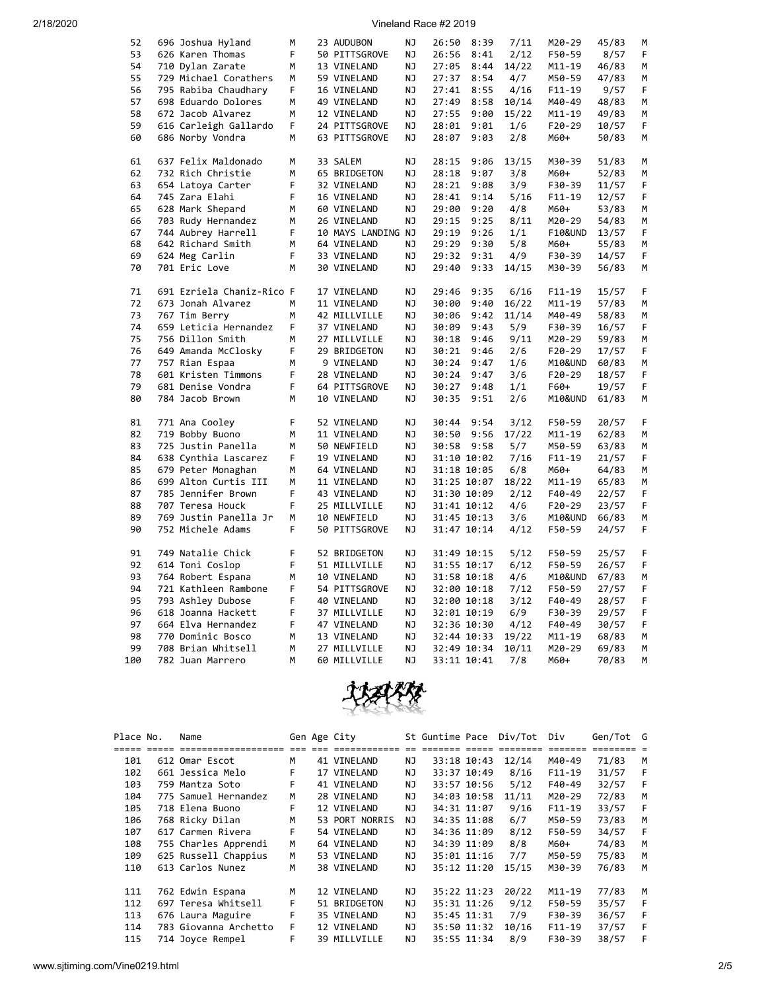## 2/18/2020 Vineland Race #2 2019

|     | 52 | 696 Joshua Hyland         | M  | 23 AUDUBON         | ΝJ        | 26:50 8:39     |             | 7/11  | M20-29             | 45/83 | M |
|-----|----|---------------------------|----|--------------------|-----------|----------------|-------------|-------|--------------------|-------|---|
|     | 53 | 626 Karen Thomas          | F  | 50 PITTSGROVE      | NJ        | 26:56          | 8:41        | 2/12  | F50-59             | 8/57  | F |
|     | 54 | 710 Dylan Zarate          | M  | 13 VINELAND        | NJ        | 27:05          | 8:44        | 14/22 | M11-19             | 46/83 | М |
|     | 55 | 729 Michael Corathers     | М  | 59 VINELAND        | ΝJ        | 27:37          | 8:54        | 4/7   | M50-59             | 47/83 | M |
|     | 56 | 795 Rabiba Chaudhary      | F  | 16 VINELAND        | ΝJ        | 27:41          | 8:55        | 4/16  | $F11 - 19$         | 9/57  | F |
|     | 57 | 698 Eduardo Dolores       | M  | 49 VINELAND        | ΝJ        | 27:49          | 8:58        | 10/14 | M40-49             | 48/83 | M |
|     | 58 | 672 Jacob Alvarez         | М  | 12 VINELAND        | ΝJ        |                | 27:55 9:00  | 15/22 | $M11 - 19$         | 49/83 | M |
|     | 59 | 616 Carleigh Gallardo     | F  | 24 PITTSGROVE      | <b>NJ</b> | 28:01          | 9:01        | 1/6   | $F20-29$           | 10/57 | F |
|     | 60 | 686 Norby Vondra          | М  | 63 PITTSGROVE      | ΝJ        | 28:07          | 9:03        | 2/8   | M60+               | 50/83 | М |
|     |    |                           |    |                    |           |                |             |       |                    |       |   |
|     | 61 | 637 Felix Maldonado       | M  | 33 SALEM           | ΝJ        | 28:15          | 9:06        | 13/15 | M30-39             | 51/83 | М |
|     | 62 | 732 Rich Christie         | M  | 65 BRIDGETON       | NJ        | 28:18          | 9:07        | 3/8   | M60+               | 52/83 | М |
|     | 63 | 654 Latoya Carter         | F  | 32 VINELAND        | ΝJ        | 28:21 9:08     |             | 3/9   | F30-39             | 11/57 | F |
|     | 64 | 745 Zara Elahi            | F  | 16 VINELAND        | ΝJ        | 28:41          | 9:14        | 5/16  | $F11 - 19$         | 12/57 | F |
|     | 65 | 628 Mark Shepard          | М  | 60 VINELAND        | ΝJ        | 29:00          | 9:20        | 4/8   | M60+               | 53/83 | М |
|     | 66 | 703 Rudy Hernandez        | М  | 26 VINELAND        | ΝJ        | 29:15          | 9:25        | 8/11  | M20-29             | 54/83 | М |
|     | 67 | 744 Aubrey Harrell        | F  | 10 MAYS LANDING NJ |           | 29:19          | 9:26        | 1/1   | <b>F10&amp;UND</b> | 13/57 | F |
|     | 68 | 642 Richard Smith         | М  | 64 VINELAND        | ΝJ        | 29:29          | 9:30        | 5/8   | M60+               | 55/83 | М |
|     | 69 | 624 Meg Carlin            | F  | 33 VINELAND        | ΝJ        | 29:32 9:31     |             | 4/9   | F30-39             | 14/57 | F |
|     | 70 |                           |    |                    |           |                |             |       |                    |       |   |
|     |    | 701 Eric Love             | M  | 30 VINELAND        | ΝJ        |                | 29:40 9:33  | 14/15 | M30-39             | 56/83 | M |
|     | 71 | 691 Ezriela Chaniz-Rico F |    | 17 VINELAND        | NJ        | 29:46          | 9:35        | 6/16  | $F11 - 19$         | 15/57 | F |
|     | 72 | 673 Jonah Alvarez         | М  | 11 VINELAND        | ΝJ        | 30:00          | 9:40        | 16/22 | M11-19             | 57/83 | М |
|     | 73 | 767 Tim Berry             | M  | 42 MILLVILLE       | NJ.       | 30:06          | 9:42        | 11/14 | M40-49             | 58/83 | M |
|     | 74 | 659 Leticia Hernandez     | F  | 37 VINELAND        | NJ        | 30:09          | 9:43        | 5/9   | F30-39             | 16/57 | F |
|     | 75 | 756 Dillon Smith          | М  | 27 MILLVILLE       | NJ        | 30:18          | 9:46        | 9/11  | M20-29             | 59/83 | М |
|     | 76 | 649 Amanda McClosky       | F  | 29 BRIDGETON       | ΝJ        | 30:21          | 9:46        | 2/6   | F20-29             | 17/57 | F |
|     | 77 | 757 Rian Espaa            | М  | 9 VINELAND         | ΝJ        | 30:24          | 9:47        | 1/6   | M10&UND            | 60/83 | М |
|     | 78 | 601 Kristen Timmons       | F. | 28 VINELAND        | ΝJ        |                | 30:24 9:47  | 3/6   | $F20-29$           | 18/57 | F |
|     | 79 | 681 Denise Vondra         | F  |                    | NJ        |                | 9:48        | 1/1   |                    | 19/57 | F |
|     | 80 | 784 Jacob Brown           | М  | 64 PITTSGROVE      | NJ        | 30:27<br>30:35 | 9:51        | 2/6   | F60+               |       | М |
|     |    |                           |    | 10 VINELAND        |           |                |             |       | M10&UND            | 61/83 |   |
|     | 81 | 771 Ana Cooley            | F  | 52 VINELAND        | ΝJ        | 30:44          | 9:54        | 3/12  | F50-59             | 20/57 | F |
|     | 82 | 719 Bobby Buono           | M  | 11 VINELAND        | NJ        |                | 30:50 9:56  | 17/22 | $M11 - 19$         | 62/83 | M |
|     | 83 | 725 Justin Panella        | M  | 50 NEWFIELD        | NJ        |                | 30:58 9:58  | 5/7   | M50-59             | 63/83 | M |
|     | 84 | 638 Cynthia Lascarez      | F  | 19 VINELAND        | NJ        |                | 31:10 10:02 | 7/16  | $F11-19$           | 21/57 | F |
|     | 85 | 679 Peter Monaghan        | М  | 64 VINELAND        | ΝJ        |                | 31:18 10:05 | 6/8   | M60+               | 64/83 | М |
|     | 86 | 699 Alton Curtis III      | M  | 11 VINELAND        | ΝJ        |                | 31:25 10:07 | 18/22 | M11-19             | 65/83 | M |
|     | 87 | 785 Jennifer Brown        | F  | 43 VINELAND        | NJ        |                | 31:30 10:09 | 2/12  | F40-49             | 22/57 | F |
|     | 88 | 707 Teresa Houck          | F  | 25 MILLVILLE       | ΝJ        |                | 31:41 10:12 | 4/6   | F20-29             | 23/57 | F |
|     | 89 | 769 Justin Panella Jr     | М  | 10 NEWFIELD        | NJ        |                | 31:45 10:13 | 3/6   | M10&UND            | 66/83 | M |
|     | 90 |                           | F  |                    | ΝJ        |                |             |       |                    |       | F |
|     |    | 752 Michele Adams         |    | 50 PITTSGROVE      |           |                | 31:47 10:14 | 4/12  | F50-59             | 24/57 |   |
|     | 91 | 749 Natalie Chick         | F  | 52 BRIDGETON       | <b>NJ</b> |                | 31:49 10:15 | 5/12  | F50-59             | 25/57 | F |
|     | 92 | 614 Toni Coslop           | F  | 51 MILLVILLE       | NJ        |                | 31:55 10:17 | 6/12  | F50-59             | 26/57 | F |
|     | 93 | 764 Robert Espana         | М  | 10 VINELAND        | ΝJ        |                | 31:58 10:18 | 4/6   | M10&UND            | 67/83 | М |
|     | 94 | 721 Kathleen Rambone      | F  | 54 PITTSGROVE      | ΝJ        |                | 32:00 10:18 | 7/12  | F50-59             | 27/57 | F |
|     | 95 | 793 Ashley Dubose         | F  | 40 VINELAND        | NJ        |                | 32:00 10:18 | 3/12  | F40-49             | 28/57 | F |
|     | 96 | 618 Joanna Hackett        | F  | 37 MILLVILLE       | ΝJ        |                | 32:01 10:19 | 6/9   | F30-39             | 29/57 | F |
|     | 97 | 664 Elva Hernandez        | F  | 47 VINELAND        | NJ        |                | 32:36 10:30 | 4/12  | F40-49             | 30/57 | F |
|     | 98 | 770 Dominic Bosco         | М  | 13 VINELAND        | ΝJ        |                | 32:44 10:33 | 19/22 | M11-19             | 68/83 | М |
|     | 99 | 708 Brian Whitsell        | M  | 27 MILLVILLE       | ΝJ        |                | 32:49 10:34 | 10/11 | M20-29             | 69/83 | M |
| 100 |    | 782 Juan Marrero          | M  | 60 MILLVILLE       | NJ        | 33:11 10:41    |             | 7/8   | M60+               | 70/83 | M |
|     |    |                           |    |                    |           |                |             |       |                    |       |   |



| Place No. | Name                  |      | Gen Age City      |     | St Guntime Pace |             | Div/Tot  | Div                     | Gen/Tot G |   |
|-----------|-----------------------|------|-------------------|-----|-----------------|-------------|----------|-------------------------|-----------|---|
|           | =================     | $==$ | === ============= |     |                 |             | ======== | $=$ $=$ $=$ $=$ $=$ $=$ | ========  |   |
| 101       | 612 Omar Escot        | м    | 41 VINELAND       | ΝJ  |                 | 33:18 10:43 | 12/14    | M40-49                  | 71/83     | M |
| 102       | 661 Jessica Melo      | F    | 17 VINELAND       | NJ  |                 | 33:37 10:49 | 8/16     | $F11-19$                | 31/57     | F |
| 103       | 759 Mantza Soto       | F    | 41 VINELAND       | NJ  |                 | 33:57 10:56 | 5/12     | $F40-49$                | 32/57     | F |
| 104       | 775 Samuel Hernandez  | м    | 28 VINELAND       | NJ. |                 | 34:03 10:58 | 11/11    | M20-29                  | 72/83     | м |
| 105       | 718 Elena Buono       | F.   | 12 VINELAND       | NJ  |                 | 34:31 11:07 | 9/16     | $F11-19$                | 33/57     | F |
| 106       | 768 Ricky Dilan       | M    | 53 PORT NORRIS    | NJ. |                 | 34:35 11:08 | 6/7      | M50-59                  | 73/83     | м |
| 107       | 617 Carmen Rivera     | F    | 54 VINELAND       | ΝJ  |                 | 34:36 11:09 | 8/12     | F50-59                  | 34/57     | F |
| 108       | 755 Charles Apprendi  | М    | 64 VINELAND       | ΝJ  |                 | 34:39 11:09 | 8/8      | M60+                    | 74/83     | M |
| 109       | 625 Russell Chappius  | M    | 53 VINELAND       | NJ  |                 | 35:01 11:16 | 7/7      | M50-59                  | 75/83     | м |
| 110       | 613 Carlos Nunez      | М    | 38 VINELAND       | NJ. |                 | 35:12 11:20 | 15/15    | M30-39                  | 76/83     | м |
| 111       | 762 Edwin Espana      | M    | 12 VINELAND       | NJ  |                 | 35:22 11:23 | 20/22    | $M11 - 19$              | 77/83     | м |
| 112       | 697 Teresa Whitsell   | F.   | 51 BRIDGETON      | NJ  |                 | 35:31 11:26 | 9/12     | F50-59                  | 35/57     | F |
|           |                       |      |                   |     |                 |             |          |                         |           |   |
| 113       | 676 Laura Maguire     | F    | 35 VINELAND       | NJ  |                 | 35:45 11:31 | 7/9      | F30-39                  | 36/57     | F |
| 114       | 783 Giovanna Archetto | F.   | 12 VINELAND       | NJ. |                 | 35:50 11:32 | 10/16    | $F11-19$                | 37/57     | F |
| 115       | 714 Joyce Rempel      | F    | 39 MILLVILLE      | NJ. |                 | 35:55 11:34 | 8/9      | F30-39                  | 38/57     | F |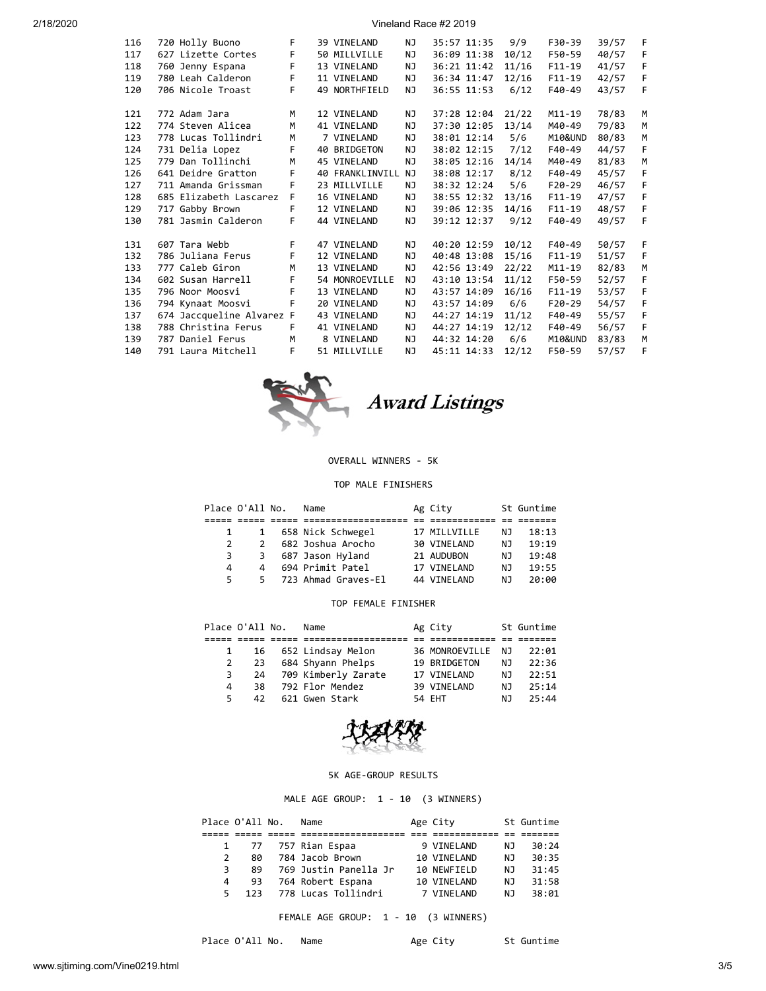2/18/2020 Vineland Race #2 2019

| 116 | 720 Holly Buono           | F  | 39 VINELAND            | ΝJ  |             | 35:57 11:35 | 9/9   | F30-39     | 39/57 | F |
|-----|---------------------------|----|------------------------|-----|-------------|-------------|-------|------------|-------|---|
| 117 | 627 Lizette Cortes        | F  | 50 MILLVILLE           | NJ  |             | 36:09 11:38 | 10/12 | F50-59     | 40/57 | F |
| 118 | 760 Jenny Espana          | F  | 13 VINELAND            | NJ  |             | 36:21 11:42 | 11/16 | $F11-19$   | 41/57 | F |
| 119 | 780 Leah Calderon         | F  | 11 VINELAND            | NJ  |             | 36:34 11:47 | 12/16 | $F11 - 19$ | 42/57 | F |
| 120 | 706 Nicole Troast         | F  | 49 NORTHFIELD          | NJ  |             | 36:55 11:53 | 6/12  | $F40-49$   | 43/57 | F |
|     |                           |    |                        |     |             |             |       |            |       |   |
| 121 | 772 Adam Jara             | M  | 12 VINELAND            | ΝJ  |             | 37:28 12:04 | 21/22 | $M11 - 19$ | 78/83 | M |
| 122 | 774 Steven Alicea         | M  | 41 VINELAND            | NJ. |             | 37:30 12:05 | 13/14 | M40-49     | 79/83 | M |
| 123 | 778 Lucas Tollindri       | M  | 7 VINELAND             | NJ  |             | 38:01 12:14 | 5/6   | M10&UND    | 80/83 | M |
| 124 | 731 Delia Lopez           | F  | 40 BRIDGETON           | NJ  |             | 38:02 12:15 | 7/12  | F40-49     | 44/57 | F |
| 125 | 779 Dan Tollinchi         | M  | 45 VINELAND            | NJ  |             | 38:05 12:16 | 14/14 | M40-49     | 81/83 | M |
| 126 | 641 Deidre Gratton        | F  | <b>40 FRANKLINVILL</b> | NJ  |             | 38:08 12:17 | 8/12  | $F40-49$   | 45/57 | F |
| 127 | 711 Amanda Grissman       | F  | 23 MILLVILLE           | ΝJ  |             | 38:32 12:24 | 5/6   | $F20-29$   | 46/57 | F |
| 128 | 685 Elizabeth Lascarez    | F  | 16 VINELAND            | NJ  |             | 38:55 12:32 | 13/16 | $F11-19$   | 47/57 | F |
| 129 | 717 Gabby Brown           | F  | 12 VINELAND            | NJ. |             | 39:06 12:35 | 14/16 | $F11 - 19$ | 48/57 | F |
| 130 | 781 Jasmin Calderon       | F  | 44 VINELAND            | NJ  |             | 39:12 12:37 | 9/12  | $F40-49$   | 49/57 | F |
|     |                           |    |                        |     |             |             |       |            |       |   |
| 131 | 607 Tara Webb             | F. | 47 VINELAND            | NJ. | 40:20 12:59 |             | 10/12 | F40-49     | 50/57 | F |
| 132 | 786 Juliana Ferus         | F  | 12 VINELAND            | NJ  | 40:48 13:08 |             | 15/16 | $F11 - 19$ | 51/57 | F |
| 133 | 777 Caleb Giron           | M  | 13 VINELAND            | NJ  | 42:56 13:49 |             | 22/22 | $M11 - 19$ | 82/83 | M |
| 134 | 602 Susan Harrell         | F  | 54 MONROEVILLE         | NJ  |             | 43:10 13:54 | 11/12 | F50-59     | 52/57 | F |
| 135 | 796 Noor Moosvi           | F  | 13 VINELAND            | NJ  | 43:57 14:09 |             | 16/16 | $F11 - 19$ | 53/57 | F |
| 136 | 794 Kynaat Moosvi         | F  | 20 VINELAND            | NJ  |             | 43:57 14:09 | 6/6   | $F20-29$   | 54/57 | F |
| 137 | 674 Jaccqueline Alvarez F |    | 43 VINELAND            | ΝJ  | 44:27 14:19 |             | 11/12 | $F40-49$   | 55/57 | F |
| 138 | 788 Christina Ferus       | F  | 41 VINELAND            | NJ  | 44:27 14:19 |             | 12/12 | F40-49     | 56/57 | F |
| 139 | 787 Daniel Ferus          | M  | 8 VINELAND             | NJ. | 44:32 14:20 |             | 6/6   | M10&UND    | 83/83 | M |
| 140 | 791 Laura Mitchell        | F  | 51 MILLVILLE           | NJ  | 45:11 14:33 |             | 12/12 | F50-59     | 57/57 | F |
|     |                           |    |                        |     |             |             |       |            |       |   |



# OVERALL WINNERS - 5K

TOP MALE FINISHERS

|               | Place O'All No. | Name                | Ag City      |     | St Guntime |
|---------------|-----------------|---------------------|--------------|-----|------------|
|               |                 |                     |              |     |            |
|               | 1               | 658 Nick Schwegel   | 17 MILLVILLE | NJ. | 18:13      |
| $\mathcal{P}$ | $\mathcal{P}$   | 682 Joshua Arocho   | 30 VINELAND  | NJ  | 19:19      |
| 3             | 3               | 687 Jason Hyland    | 21 AUDUBON   | ΝJ  | 19:48      |
| 4             | 4               | 694 Primit Patel    | 17 VINELAND  | NJ  | 19:55      |
| 5.            | 5.              | 723 Ahmad Graves-El | 44 VINELAND  | ΝJ  | 20:00      |

## TOP FEMALE FINISHER

|    | Place O'All No. | Name                   | Ag City           |     | St Guntime |
|----|-----------------|------------------------|-------------------|-----|------------|
|    |                 |                        |                   |     |            |
|    | $\mathbf{1}$    | 16 652 Lindsay Melon   | 36 MONROEVILLE NJ |     | 22:01      |
|    | $2 \t23$        | 684 Shyann Phelps      | 19 BRIDGETON      | NJ. | 22:36      |
| 3  |                 | 24 709 Kimberly Zarate | 17 VINELAND       | NJ. | 22:51      |
| 4  | 38.             | 792 Flor Mendez        | 39 VINELAND       | NJ. | 25:14      |
| 5. | 42              | 621 Gwen Stark         | 54 EHT            | N J | 25:44      |



## 5K AGE-GROUP RESULTS

MALE AGE GROUP: 1 - 10 (3 WINNERS)

|               | Place O'All No. | Name                  | Age City    |     | St Guntime |
|---------------|-----------------|-----------------------|-------------|-----|------------|
|               |                 |                       |             |     |            |
|               |                 | 1 77 757 Rian Espaa   | 9 VINELAND  | NJ. | 30:24      |
| $\mathcal{P}$ | 80              | 784 Jacob Brown       | 10 VINELAND | NJ. | 30:35      |
| 3             | 89              | 769 Justin Panella Jr | 10 NEWFIELD | NJ. | 31:45      |
| 4             | 93              | 764 Robert Espana     | 10 VINELAND | ΝJ  | 31:58      |
| 5.            | 123             | 778 Lucas Tollindri   | 7 VTNFI AND | ΝJ  | 38:01      |

FEMALE AGE GROUP: 1 - 10 (3 WINNERS)

Place O'All No. Name Mage City St Guntime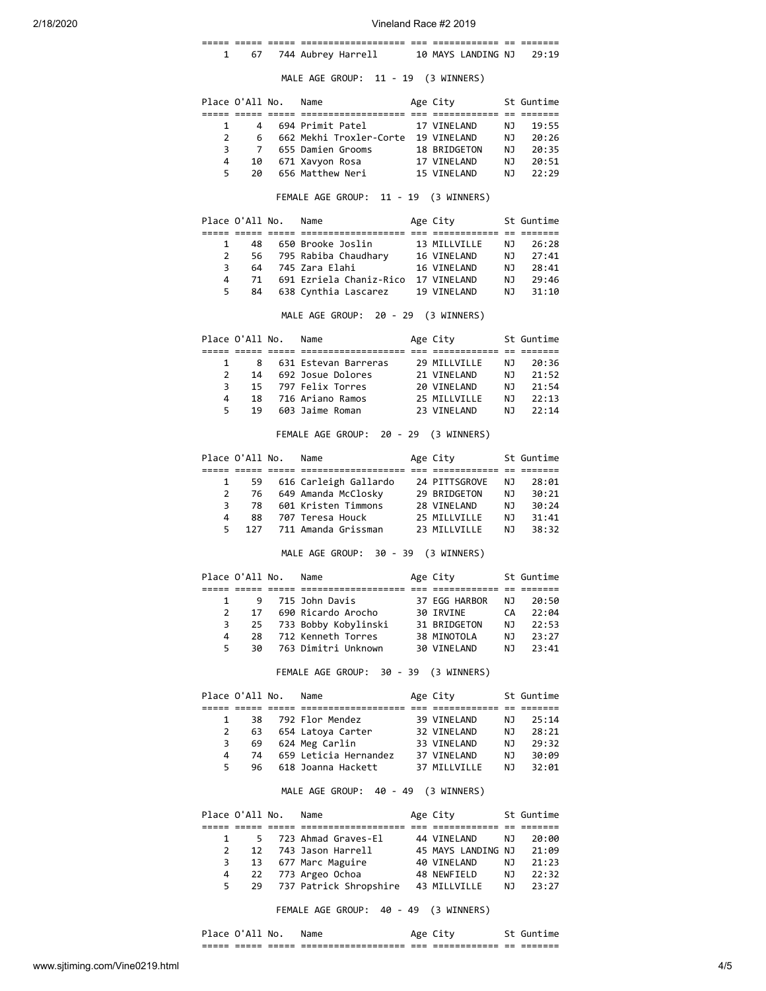| 2/18/2020 |                |                 |                      |                                                                                 | Vineland Race #2 2019        |          |                |
|-----------|----------------|-----------------|----------------------|---------------------------------------------------------------------------------|------------------------------|----------|----------------|
|           | 1              | 67              |                      | 744 Aubrey Harrell                                                              | 10 MAYS LANDING NJ           |          | 29:19          |
|           |                |                 |                      | MALE AGE GROUP: 11 - 19 (3 WINNERS)                                             |                              |          |                |
|           |                | Place O'All No. |                      | Name                                                                            | Age City                     |          | St Guntime     |
|           | 1              |                 |                      | 4 694 Primit Patel                                                              | 17 VINELAND                  | NJ       | 19:55          |
|           | $\overline{2}$ |                 |                      | 6   662 Mekhi Troxler-Corte  19 VINELAND                                        |                              | NJ       | 20:26          |
|           | 3              |                 |                      | 7   655 Damien Grooms                                                           | 18 BRIDGETON                 | NJ       | 20:35          |
|           | 4              | 10              |                      | 671 Xavyon Rosa                                                                 | 17 VINELAND                  | NJ       | 20:51          |
|           | 5              | 20              |                      | 656 Matthew Neri                                                                | 15 VINELAND                  | NJ       | 22:29          |
|           |                |                 |                      | FEMALE AGE GROUP: 11 - 19 (3 WINNERS)                                           |                              |          |                |
|           |                | Place O'All No. |                      | Name                                                                            | Age City                     |          | St Guntime     |
|           |                |                 |                      |                                                                                 |                              |          |                |
|           | 1              | 48              |                      | 650 Brooke Joslin                                                               | 13 MILLVILLE                 | ΝJ       | 26:28          |
|           | $\mathbf{2}$   |                 |                      | 56 795 Rabiba Chaudhary 16 VINELAND                                             |                              | NJ       | 27:41          |
|           | 3              |                 |                      | 64 745 Zara Elahi                                                               | 16 VINELAND                  | NJ       | 28:41          |
|           | 4              | 71              |                      | 691 Ezriela Chaniz-Rico 17 VINELAND                                             |                              | NJ 1     | 29:46          |
|           | 5              | 84              |                      | 638 Cynthia Lascarez                                                            | 19 VINELAND                  | NJ       | 31:10          |
|           |                |                 |                      | MALE AGE GROUP: 20 - 29 (3 WINNERS)                                             |                              |          |                |
|           |                | Place O'All No. |                      | Name                                                                            | Age City                     |          | St Guntime     |
|           | 1              | 8               |                      | 631 Estevan Barreras                                                            | 29 MILLVILLE                 | ΝJ       | 20:36          |
|           | $\overline{2}$ |                 |                      | 14 692 Josue Dolores                                                            | 21 VINELAND                  | NJ       | 21:52          |
|           | 3              |                 |                      | 15 797 Felix Torres                                                             | 20 VINELAND                  | NJ       | 21:54          |
|           | 4              | 18              |                      | 716 Ariano Ramos                                                                | 25 MILLVILLE                 | NJ       | 22:13          |
|           | 5              | 19              |                      | 603 Jaime Roman                                                                 | 23 VINELAND                  | NJ       | 22:14          |
|           |                |                 |                      | FEMALE AGE GROUP: 20 - 29 (3 WINNERS)                                           |                              |          |                |
|           |                | Place O'All No. |                      | Name                                                                            | Age City                     |          | St Guntime     |
|           |                |                 |                      |                                                                                 |                              |          |                |
|           | 1              | 59              |                      | 616 Carleigh Gallardo 24 PITTSGROVE                                             |                              | NJ       | 28:01          |
|           | $\overline{2}$ |                 |                      | 76   649 Amanda McClosky                                                        | 29 BRIDGETON                 | NJ       | 30:21          |
|           | 3              | 78              |                      | 601 Kristen Timmons                                                             | 28 VINELAND                  | NJ       | 30:24          |
|           | 4<br>5         | 88<br>127       |                      | 707 Teresa Houck<br>711 Amanda Grissman                                         | 25 MILLVILLE<br>23 MILLVILLE | NJ<br>NJ | 31:41<br>38:32 |
|           |                |                 |                      | MALE AGE GROUP: 30 - 39 (3 WINNERS)                                             |                              |          |                |
|           |                |                 | Place O'All No. Name |                                                                                 | Age City                     |          | St Guntime     |
|           |                |                 |                      |                                                                                 |                              |          |                |
|           | 1              | 9               |                      | 715 John Davis                                                                  | 37 EGG HARBOR                | NJ       | 20:50          |
|           | $\overline{2}$ | 17              |                      | 690 Ricardo Arocho                                                              | 30 IRVINE                    | CA       | 22:04          |
|           | 3              | 25              |                      | 733 Bobby Kobylinski     31 BRIDGETON<br>712 Kenneth Torres         38 MINOTOLA |                              | NJ       | 22:53          |
|           | 4              | 28              |                      | 712 Kenneth Torres                                                              | 38 MINOTOLA                  | NJ       | 23:27          |
|           | 5              | 30              |                      | 763 Dimitri Unknown                                                             | 30 VINELAND                  | NJ       | 23:41          |
|           |                |                 |                      | FEMALE AGE GROUP: 30 - 39 (3 WINNERS)                                           |                              |          |                |
|           |                | Place O'All No. |                      | Name                                                                            | Age City                     |          | St Guntime     |
|           | $\mathbf{1}$   |                 |                      | 38 792 Flor Mendez                                                              | 39 VINELAND                  | NJ       | 25:14          |
|           | $\overline{2}$ |                 |                      | 63 654 Latoya Carter 32 VINELAND                                                |                              | NJ       | 28:21          |
|           | 3              | 69              |                      | 624 Meg Carlin                                                                  | 33 VINELAND                  | NJ       | 29:32          |
|           | 4              | 74              |                      | 659 Leticia Hernandez                                                           | 37 VINELAND                  | NJ       | 30:09          |
|           | 5              | 96              |                      | 618 Joanna Hackett                                                              | 37 MILLVILLE                 | ΝJ       | 32:01          |
|           |                |                 |                      | MALE AGE GROUP: 40 - 49 (3 WINNERS)                                             |                              |          |                |
|           |                | Place O'All No. |                      | Name                                                                            | Age City                     |          | St Guntime     |
|           |                |                 |                      |                                                                                 |                              |          |                |
|           | 1              |                 |                      | 5 723 Ahmad Graves-El 44 VINELAND                                               |                              | NJ       | 20:00          |
|           | $\overline{2}$ | 12              |                      | 743 Jason Harrell                                                               | 45 MAYS LANDING NJ           |          | 21:09          |
|           | 3              | 13              |                      | 677 Marc Maguire<br>773 Argeo Ochoa 48 NEWFIELD                                 | 40 VINELAND                  | NJ       | 21:23          |
|           | 4<br>5         | 22<br>29        |                      | 737 Patrick Shropshire 43 MILLVILLE                                             |                              | ΝJ       | 22:32          |
|           |                |                 |                      |                                                                                 |                              | ΝJ       | 23:27          |

FEMALE AGE GROUP: 40 - 49 (3 WINNERS)

| <b>IACA</b>    | ΔI<br>U.       | No.            | Name                                                    | Δσρ          |                                |            | .                  |
|----------------|----------------|----------------|---------------------------------------------------------|--------------|--------------------------------|------------|--------------------|
| _____<br>----- | _____<br>_____ | _____<br>_____ | _________________<br>---<br>------------------<br>$- -$ | $- -$<br>___ | _____________<br>_____________ | $ -$<br>-- | _______<br>_______ |